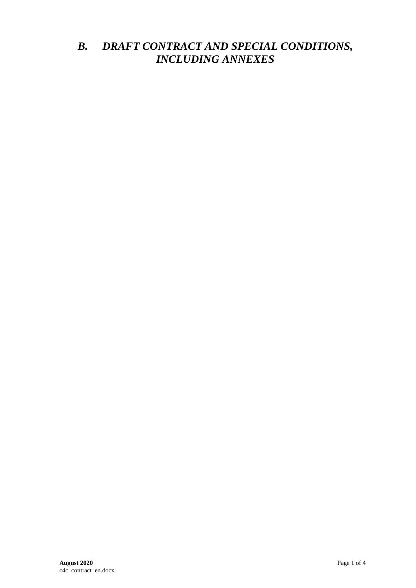## *B. DRAFT CONTRACT AND SPECIAL CONDITIONS, INCLUDING ANNEXES*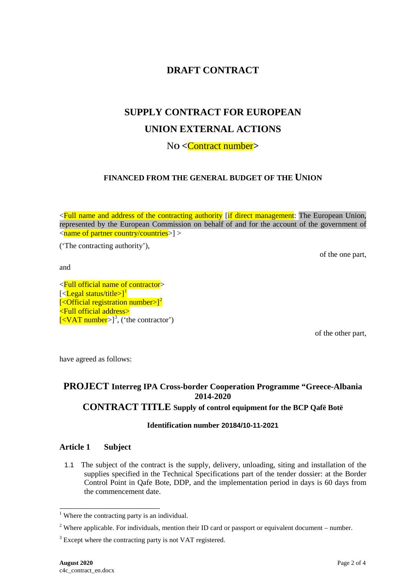### **DRAFT CONTRACT**

# **SUPPLY CONTRACT FOR EUROPEAN UNION EXTERNAL ACTIONS**

N**O <**Contract number**>**

#### **FINANCED FROM THE GENERAL BUDGET OF THE UNION**

<Full name and address of the contracting authority [if direct management: The European Union, represented by the European Commission on behalf of and for the account of the government of  $\langle$  and  $\rangle$  and  $\langle$  partner country/countries  $>$ 

('The contracting authority'),

of the one part,

and

<Full official name of contractor> [<**Legal status/title>]**<sup>[1](#page-1-0)</sup> [<Official registration number>]<sup>[2](#page-1-1)</sup> <Full official address>  $\left[ <$ VAT number $>$ ]<sup>[3](#page-1-2)</sup>, ('the contractor')

of the other part,

have agreed as follows:

#### **PROJECT Interreg IPA Cross-border Cooperation Programme "Greece-Albania 2014-2020 CONTRACT TITLE Supply of control equipment for the BCP Qafë Botë**

#### **Identification number 20184/10-11-2021**

#### **Article 1 Subject**

1.1 The subject of the contract is the supply, delivery, unloading, siting and installation of the supplies specified in the Technical Specifications part of the tender dossier: at the Border Control Point in Qafe Bote, DDP, and the implementation period in days is 60 days from the commencement date.

<span id="page-1-0"></span><sup>&</sup>lt;sup>1</sup> Where the contracting party is an individual.

<span id="page-1-1"></span><sup>&</sup>lt;sup>2</sup> Where applicable. For individuals, mention their ID card or passport or equivalent document – number.

<span id="page-1-2"></span><sup>&</sup>lt;sup>3</sup> Except where the contracting party is not VAT registered.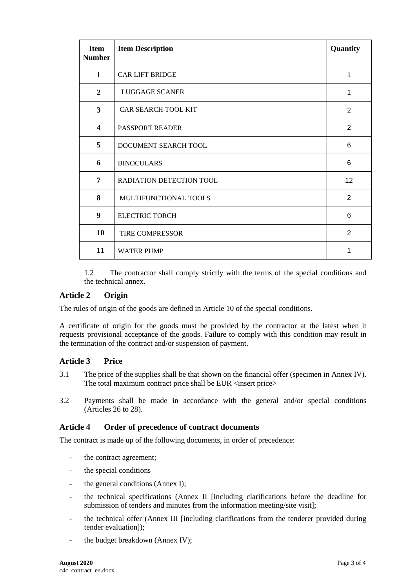| <b>Item</b><br><b>Number</b> | <b>Item Description</b>    | Quantity        |
|------------------------------|----------------------------|-----------------|
| $\mathbf{1}$                 | <b>CAR LIFT BRIDGE</b>     | 1               |
| $\overline{2}$               | LUGGAGE SCANER             | 1               |
| 3                            | <b>CAR SEARCH TOOL KIT</b> | 2               |
| $\overline{\mathbf{4}}$      | <b>PASSPORT READER</b>     | $\overline{2}$  |
| 5                            | DOCUMENT SEARCH TOOL       | 6               |
| 6                            | <b>BINOCULARS</b>          | 6               |
| 7                            | RADIATION DETECTION TOOL   | 12 <sub>2</sub> |
| 8                            | MULTIFUNCTIONAL TOOLS      | 2               |
| 9                            | <b>ELECTRIC TORCH</b>      | 6               |
| 10                           | TIRE COMPRESSOR            | 2               |
| 11                           | <b>WATER PUMP</b>          | 1               |

1.2 The contractor shall comply strictly with the terms of the special conditions and the technical annex.

#### **Article 2 Origin**

The rules of origin of the goods are defined in Article 10 of the special conditions.

A certificate of origin for the goods must be provided by the contractor at the latest when it requests provisional acceptance of the goods. Failure to comply with this condition may result in the termination of the contract and/or suspension of payment.

#### **Article 3 Price**

- 3.1 The price of the supplies shall be that shown on the financial offer (specimen in Annex IV). The total maximum contract price shall be EUR <insert price>
- 3.2 Payments shall be made in accordance with the general and/or special conditions (Articles 26 to 28).

#### **Article 4 Order of precedence of contract documents**

The contract is made up of the following documents, in order of precedence:

- the contract agreement;
- the special conditions
- the general conditions (Annex I);
- the technical specifications (Annex II [including clarifications before the deadline for submission of tenders and minutes from the information meeting/site visit];
- the technical offer (Annex III [including clarifications from the tenderer provided during tender evaluation]);
- the budget breakdown (Annex IV);